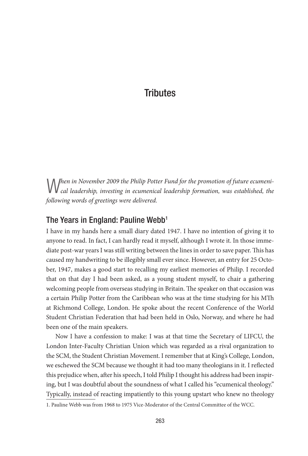W*hen in November 2009 the Philip Potter Fund for the promotion of future ecumeni-cal leadership, investing in ecumenical leadership formation, was established, the following words of greetings were delivered.*

### The Years in England: Pauline Webb<sup>1</sup>

I have in my hands here a small diary dated 1947. I have no intention of giving it to anyone to read. In fact, I can hardly read it myself, although I wrote it. In those immediate post-war years I was still writing between the lines in order to save paper. This has caused my handwriting to be illegibly small ever since. However, an entry for 25 October, 1947, makes a good start to recalling my earliest memories of Philip. I recorded that on that day I had been asked, as a young student myself, to chair a gathering welcoming people from overseas studying in Britain. The speaker on that occasion was a certain Philip Potter from the Caribbean who was at the time studying for his MTh at Richmond College, London. He spoke about the recent Conference of the World Student Christian Federation that had been held in Oslo, Norway, and where he had been one of the main speakers.

Now I have a confession to make: I was at that time the Secretary of LIFCU, the London Inter-Faculty Christian Union which was regarded as a rival organization to the SCM, the Student Christian Movement. I remember that at King's College, London, we eschewed the SCM because we thought it had too many theologians in it. I reflected this prejudice when, after his speech, I told Philip I thought his address had been inspiring, but I was doubtful about the soundness of what I called his "ecumenical theology." Typically, instead of reacting impatiently to this young upstart who knew no theology

<sup>1.</sup> Pauline Webb was from 1968 to 1975 Vice-Moderator of the Central Committee of the WCC.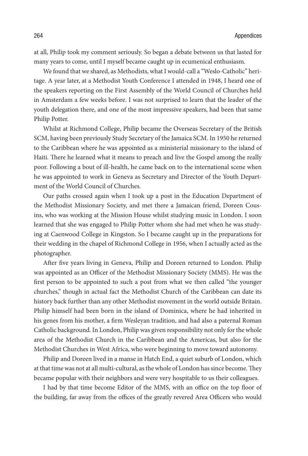at all, Philip took my comment seriously. So began a debate between us that lasted for many years to come, until I myself became caught up in ecumenical enthusiasm.

We found that we shared, as Methodists, what I would-call a "Weslo-Catholic" heritage. A year later, at a Methodist Youth Conference I attended in 1948, I heard one of the speakers reporting on the First Assembly of the World Council of Churches held in Amsterdam a few weeks before. I was not surprised to learn that the leader of the youth delegation there, and one of the most impressive speakers, had been that same Philip Potter.

Whilst at Richmond College, Philip became the Overseas Secretary of the British SCM, having been previously Study Secretary of the Jamaica SCM. In 1950 he returned to the Caribbean where he was appointed as a ministerial missionary to the island of Haiti. There he learned what it means to preach and live the Gospel among the really poor. Following a bout of ill-health, he came back on to the international scene when he was appointed to work in Geneva as Secretary and Director of the Youth Department of the World Council of Churches.

Our paths crossed again when I took up a post in the Education Department of the Methodist Missionary Society, and met there a Jamaican friend, Doreen Cousins, who was working at the Mission House whilst studying music in London. I soon learned that she was engaged to Philip Potter whom she had met when he was studying at Caenwood College in Kingston. So I became caught up in the preparations for their wedding in the chapel of Richmond College in 1956, when I actually acted as the photographer.

After five years living in Geneva, Philip and Doreen returned to London. Philip was appointed as an Officer of the Methodist Missionary Society (MMS). He was the first person to be appointed to such a post from what we then called "the younger churches," though in actual fact the Methodist Church of the Caribbean can date its history back further than any other Methodist movement in the world outside Britain. Philip himself had been born in the island of Dominica, where he had inherited in his genes from his mother, a firm Wesleyan tradition, and had also a paternal Roman Catholic background. In London, Philip was given responsibility not only for the whole area of the Methodist Church in the Caribbean and the Americas, but also for the Methodist Churches in West Africa, who were beginning to move toward autonomy.

Philip and Doreen lived in a manse in Hatch End, a quiet suburb of London, which at that time was not at all multi-cultural, as the whole of London has since become. They became popular with their neighbors and were very hospitable to us their colleagues.

I had by that time become Editor of the MMS, with an office on the top floor of the building, far away from the offices of the greatly revered Area Officers who would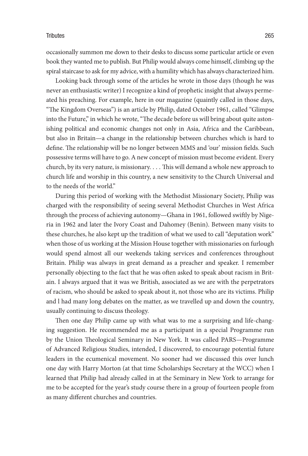occasionally summon me down to their desks to discuss some particular article or even book they wanted me to publish. But Philip would always come himself, climbing up the spiral staircase to ask for my advice, with a humility which has always characterized him.

Looking back through some of the articles he wrote in those days (though he was never an enthusiastic writer) I recognize a kind of prophetic insight that always permeated his preaching. For example, here in our magazine (quaintly called in those days, "The Kingdom Overseas") is an article by Philip, dated October 1961, called "Glimpse into the Future," in which he wrote, "The decade before us will bring about quite astonishing political and economic changes not only in Asia, Africa and the Caribbean, but also in Britain—a change in the relationship between churches which is hard to define. The relationship will be no longer between MMS and 'our' mission fields. Such possessive terms will have to go. A new concept of mission must become evident. Every church, by its very nature, is missionary. . . . This will demand a whole new approach to church life and worship in this country, a new sensitivity to the Church Universal and to the needs of the world."

During this period of working with the Methodist Missionary Society, Philip was charged with the responsibility of seeing several Methodist Churches in West Africa through the process of achieving autonomy—Ghana in 1961, followed swiftly by Nigeria in 1962 and later the Ivory Coast and Dahomey (Benin). Between many visits to these churches, he also kept up the tradition of what we used to call "deputation work" when those of us working at the Mission House together with missionaries on furlough would spend almost all our weekends taking services and conferences throughout Britain. Philip was always in great demand as a preacher and speaker. I remember personally objecting to the fact that he was often asked to speak about racism in Britain. I always argued that it was we British, associated as we are with the perpetrators of racism, who should be asked to speak about it, not those who are its victims. Philip and l had many long debates on the matter, as we travelled up and down the country, usually continuing to discuss theology.

Then one day Philip came up with what was to me a surprising and life-changing suggestion. He recommended me as a participant in a special Programme run by the Union Theological Seminary in New York. It was called PARS—Programme of Advanced Religious Studies, intended, I discovered, to encourage potential future leaders in the ecumenical movement. No sooner had we discussed this over lunch one day with Harry Morton (at that time Scholarships Secretary at the WCC) when I learned that Philip had already called in at the Seminary in New York to arrange for me to be accepted for the year's study course there in a group of fourteen people from as many different churches and countries.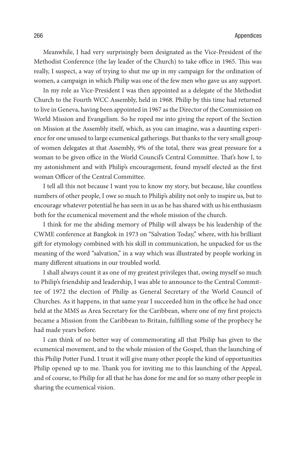Meanwhile, I had very surprisingly been designated as the Vice-President of the Methodist Conference (the lay leader of the Church) to take office in 1965. This was really, I suspect, a way of trying to shut me up in my campaign for the ordination of women, a campaign in which Philip was one of the few men who gave us any support.

In my role as Vice-President I was then appointed as a delegate of the Methodist Church to the Fourth WCC Assembly, held in 1968. Philip by this time had returned to live in Geneva, having been appointed in 1967 as the Director of the Commission on World Mission and Evangelism. So he roped me into giving the report of the Section on Mission at the Assembly itself, which, as you can imagine, was a daunting experience for one unused to large ecumenical gatherings. But thanks to the very small group of women delegates at that Assembly, 9% of the total, there was great pressure for a woman to be given office in the World Council's Central Committee. That's how I, to my astonishment and with Philip's encouragement, found myself elected as the first woman Officer of the Central Committee.

I tell all this not because I want you to know my story, but because, like countless numbers of other people, I owe so much to Philip's ability not only to inspire us, but to encourage whatever potential he has seen in us as he has shared with us his enthusiasm both for the ecumenical movement and the whole mission of the church.

I think for me the abiding memory of Philip will always be his leadership of the CWME conference at Bangkok in 1973 on "Salvation Today," where, with his brilliant gift for etymology combined with his skill in communication, he unpacked for us the meaning of the word "salvation," in a way which was illustrated by people working in many different situations in our troubled world.

I shall always count it as one of my greatest privileges that, owing myself so much to Philip's friendship and leadership, I was able to announce to the Central Committee of 1972 the election of Philip as General Secretary of the World Council of Churches. As it happens, in that same year I succeeded him in the office he had once held at the MMS as Area Secretary for the Caribbean, where one of my first projects became a Mission from the Caribbean to Britain, fulfilling some of the prophecy he had made years before.

I can think of no better way of commemorating all that Philip has given to the ecumenical movement, and to the whole mission of the Gospel, than the launching of this Philip Potter Fund. I trust it will give many other people the kind of opportunities Philip opened up to me. Thank you for inviting me to this launching of the Appeal, and of course, to Philip for all that he has done for me and for so many other people in sharing the ecumenical vision.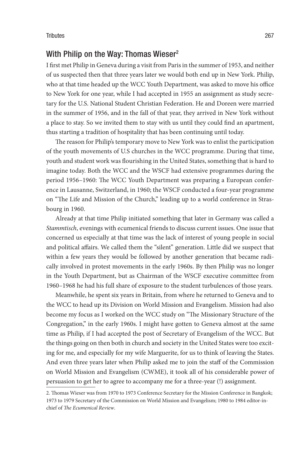## With Philip on the Way: Thomas Wieser<sup>2</sup>

I first met Philip in Geneva during a visit from Paris in the summer of 1953, and neither of us suspected then that three years later we would both end up in New York. Philip, who at that time headed up the WCC Youth Department, was asked to move his office to New York for one year, while I had accepted in 1955 an assignment as study secretary for the U.S. National Student Christian Federation. He and Doreen were married in the summer of 1956, and in the fall of that year, they arrived in New York without a place to stay. So we invited them to stay with us until they could find an apartment, thus starting a tradition of hospitality that has been continuing until today.

The reason for Philip's temporary move to New York was to enlist the participation of the youth movements of U.S churches in the WCC programme. During that time, youth and student work was flourishing in the United States, something that is hard to imagine today. Both the WCC and the WSCF had extensive programmes during the period 1956–1960: The WCC Youth Department was preparing a European conference in Lausanne, Switzerland, in 1960; the WSCF conducted a four-year programme on "The Life and Mission of the Church," leading up to a world conference in Strasbourg in 1960.

Already at that time Philip initiated something that later in Germany was called a *Stammtisch*, evenings with ecumenical friends to discuss current issues. One issue that concerned us especially at that time was the lack of interest of young people in social and political affairs. We called them the "silent" generation. Little did we suspect that within a few years they would be followed by another generation that became radically involved in protest movements in the early 1960s. By then Philip was no longer in the Youth Department, but as Chairman of the WSCF executive committee from 1960–1968 he had his full share of exposure to the student turbulences of those years.

Meanwhile, he spent six years in Britain, from where he returned to Geneva and to the WCC to head up its Division on World Mission and Evangelism. Mission had also become my focus as I worked on the WCC study on "The Missionary Structure of the Congregation," in the early 1960s. I might have gotten to Geneva almost at the same time as Philip, if I had accepted the post of Secretary of Evangelism of the WCC. But the things going on then both in church and society in the United States were too exciting for me, and especially for my wife Marguerite, for us to think of leaving the States. And even three years later when Philip asked me to join the staff of the Commission on World Mission and Evangelism (CWME), it took all of his considerable power of persuasion to get her to agree to accompany me for a three-year (!) assignment.

<sup>2.</sup> Thomas Wieser was from 1970 to 1973 Conference Secretary for the Mission Conference in Bangkok; 1973 to 1979 Secretary of the Commission on World Mission and Evangelism; 1980 to 1984 editor-inchief of *The Ecumenical Review*.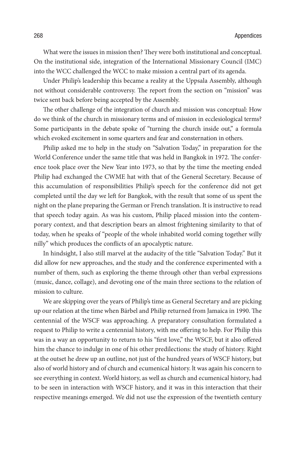What were the issues in mission then? They were both institutional and conceptual. On the institutional side, integration of the International Missionary Council (IMC) into the WCC challenged the WCC to make mission a central part of its agenda.

Under Philip's leadership this became a reality at the Uppsala Assembly, although not without considerable controversy. The report from the section on "mission" was twice sent back before being accepted by the Assembly.

The other challenge of the integration of church and mission was conceptual: How do we think of the church in missionary terms and of mission in ecclesiological terms? Some participants in the debate spoke of "turning the church inside out," a formula which evoked excitement in some quarters and fear and consternation in others.

Philip asked me to help in the study on "Salvation Today," in preparation for the World Conference under the same title that was held in Bangkok in 1972. The conference took place over the New Year into 1973, so that by the time the meeting ended Philip had exchanged the CWME hat with that of the General Secretary. Because of this accumulation of responsibilities Philip's speech for the conference did not get completed until the day we left for Bangkok, with the result that some of us spent the night on the plane preparing the German or French translation. It is instructive to read that speech today again. As was his custom, Philip placed mission into the contemporary context, and that description bears an almost frightening similarity to that of today, when he speaks of "people of the whole inhabited world coming together willy nilly" which produces the conflicts of an apocalyptic nature.

In hindsight, I also still marvel at the audacity of the title "Salvation Today." But it did allow for new approaches, and the study and the conference experimented with a number of them, such as exploring the theme through other than verbal expressions (music, dance, collage), and devoting one of the main three sections to the relation of mission to culture.

We are skipping over the years of Philip's time as General Secretary and are picking up our relation at the time when Bärbel and Philip returned from Jamaica in 1990. The centennial of the WSCF was approaching. A preparatory consultation formulated a request to Philip to write a centennial history, with me offering to help. For Philip this was in a way an opportunity to return to his "first love," the WSCF, but it also offered him the chance to indulge in one of his other predilections: the study of history. Right at the outset he drew up an outline, not just of the hundred years of WSCF history, but also of world history and of church and ecumenical history. lt was again his concern to see everything in context. World history, as well as church and ecumenical history, had to be seen in interaction with WSCF history, and it was in this interaction that their respective meanings emerged. We did not use the expression of the twentieth century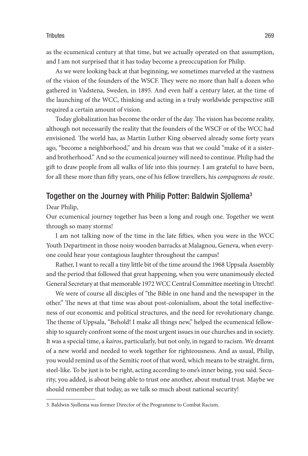as the ecumenical century at that time, but we actually operated on that assumption, and I am not surprised that it has today become a preoccupation for Philip.

As we were looking back at that beginning, we sometimes marveled at the vastness of the vision of the founders of the WSCF. They were no more than half a dozen who gathered in Vadstena, Sweden, in 1895. And even half a century later, at the time of the launching of the WCC, thinking and acting in a truly worldwide perspective still required a certain amount of vision.

Today globalization has become the order of the day. The vision has become reality, although not necessarily the reality that the founders of the WSCF or of the WCC had envisioned. The world has, as Martin Luther King observed already some forty years ago, "become a neighborhood," and his dream was that we could "make of it a sisterand brotherhood." And so the ecumenical journey will need to continue. Philip had the gift to draw people from all walks of life into this journey. I am grateful to have been, for all these more than fifty years, one of his fellow travellers, his *compagnons de route*.

### Together on the Journey with Philip Potter: Baldwin Siollema<sup>3</sup>

Dear Philip,

Our ecumenical journey together has been a long and rough one. Together we went through so many storms!

I am not talking now of the time in the late fifties, when you were in the WCC Youth Department in those noisy wooden barracks at Malagnou, Geneva, when everyone could hear your contagious laughter throughout the campus!

Rather, I want to recall a tiny little bit of the time around the 1968 Uppsala Assembly and the period that followed that great happening, when you were unanimously elected General Secretary at that memorable 1972 WCC Central Committee meeting in Utrecht!

We were of course all disciples of "the Bible in one hand and the newspaper in the other." The news at that time was about post-colonialism, about the total ineffectiveness of our economic and political structures, and the need for revolutionary change. The theme of Uppsala, "Behold! I make all things new," helped the ecumenical fellowship to squarely confront some of the most urgent issues in our churches and in society. It was a special time, a *kairos*, particularly, but not only, in regard to racism. We dreamt of a new world and needed to work together for righteousness. And as usual, Philip, you would remind us of the Semitic root of that word, which means to be straight, firm, steel-like. To be just is to be right, acting according to one's inner being, you said. Security, you added, is about being able to trust one another, about mutual trust. Maybe we should remember that today, as we talk so much about national security!

<sup>3.</sup> Baldwin Sjollema was former Director of the Programme to Combat Racism.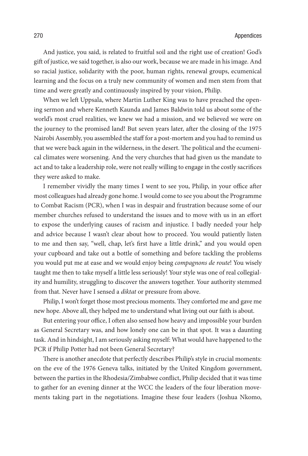And justice, you said, is related to fruitful soil and the right use of creation! God's gift of justice, we said together, is also our work, because we are made in his image. And so racial justice, solidarity with the poor, human rights, renewal groups, ecumenical learning and the focus on a truly new community of women and men stem from that time and were greatly and continuously inspired by your vision, Philip.

When we left Uppsala, where Martin Luther King was to have preached the opening sermon and where Kenneth Kaunda and James Baldwin told us about some of the world's most cruel realities, we knew we had a mission, and we believed we were on the journey to the promised land! But seven years later, after the closing of the 1975 Nairobi Assembly, you assembled the staff for a post-mortem and you had to remind us that we were back again in the wilderness, in the desert. The political and the ecumenical climates were worsening. And the very churches that had given us the mandate to act and to take a leadership role, were not really willing to engage in the costly sacrifices they were asked to make.

I remember vividly the many times I went to see you, Philip, in your office after most colleagues had already gone home. I would come to see you about the Programme to Combat Racism (PCR), when I was in despair and frustration because some of our member churches refused to understand the issues and to move with us in an effort to expose the underlying causes of racism and injustice. I badly needed your help and advice because I wasn't clear about how to proceed. You would patiently listen to me and then say, "well, chap, let's first have a little drink," and you would open your cupboard and take out a bottle of something and before tackling the problems you would put me at ease and we would enjoy being *compagnons de route*! You wisely taught me then to take myself a little less seriously! Your style was one of real collegiality and humility, struggling to discover the answers together. Your authority stemmed from that. Never have I sensed a *diktat* or pressure from above.

Philip, I won't forget those most precious moments. They comforted me and gave me new hope. Above all, they helped me to understand what living out our faith is about.

But entering your office, I often also sensed how heavy and impossible your burden as General Secretary was, and how lonely one can be in that spot. It was a daunting task. And in hindsight, I am seriously asking myself: What would have happened to the PCR if Philip Potter had not been General Secretary?

There is another anecdote that perfectly describes Philip's style in crucial moments: on the eve of the 1976 Geneva talks, initiated by the United Kingdom government, between the parties in the Rhodesia/Zimbabwe conflict, Philip decided that it was time to gather for an evening dinner at the WCC the leaders of the four liberation movements taking part in the negotiations. Imagine these four leaders (Joshua Nkomo,